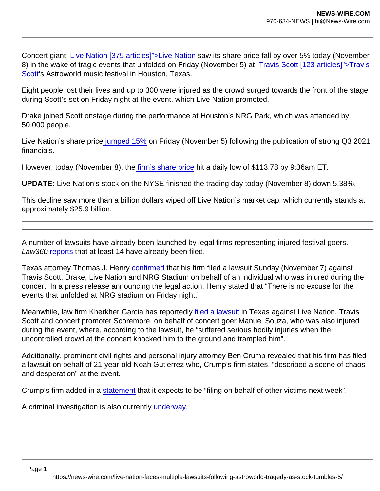Concert giant [Live Nation \[375 articles\]">Live Nation](https://www.musicbusinessworldwide.com/companies/live-nation/) saw its share price fall by over 5% today (November 8) in the wake of tragic events that unfolded on Friday (November 5) at Travis Scott [123 articles]">Travis [Scott](https://www.musicbusinessworldwide.com/artists/travis-scott/)'s Astroworld music festival in Houston, Texas.

Eight people lost their lives and up to 300 were injured as the crowd surged towards the front of the stage during Scott's set on Friday night at the event, which Live Nation promoted.

Drake joined Scott onstage during the performance at Houston's NRG Park, which was attended by 50,000 people.

Live Nation's share pric[e jumped 15%](https://www.fool.com/investing/2021/11/05/why-live-nation-entertainment-stock-jumped-15-on-f/) on Friday (November 5) following the publication of strong Q3 2021 financials.

However, today (November 8), th[e firm's share price](https://www.nasdaq.com/market-activity/stocks/lyv) hit a daily low of \$113.78 by 9:36am ET.

UPDATE: Live Nation's stock on the NYSE finished the trading day today (November 8) down 5.38%.

This decline saw more than a billion dollars wiped off Live Nation's market cap, which currently stands at approximately \$25.9 billion.

A number of lawsuits have already been launched by legal firms representing injured festival goers. Law360 [reports](https://www.law360.com/consumerprotection/articles/1438616) that at least 14 have already been filed.

Texas attorney Thomas J. Henry [confirmed](https://www.prnewswire.com/news-releases/victim-in-travis-scott-astroworld-tragedy-hires-texas-attorney-thomas-j-henry-as-law-firm-fields-numerous-calls-from-victims-301418093.html) that his firm filed a lawsuit Sunday (November 7) against Travis Scott, Drake, Live Nation and NRG Stadium on behalf of an individual who was injured during the concert. In a press release announcing the legal action, Henry stated that "There is no excuse for the events that unfolded at NRG stadium on Friday night."

Meanwhile, law firm Kherkher Garcia has reportedly [filed a lawsuit](https://edition.cnn.com/us/live-news/astroworld-houston-crowd-surge-travis-scott-11-08-21/index.html) in Texas against Live Nation, Travis Scott and concert promoter Scoremore, on behalf of concert goer Manuel Souza, who was also injured during the event, where, according to the lawsuit, he "suffered serious bodily injuries when the uncontrolled crowd at the concert knocked him to the ground and trampled him".

Additionally, prominent civil rights and personal injury attorney Ben Crump revealed that his firm has filed a lawsuit on behalf of 21-year-old Noah Gutierrez who, Crump's firm states, "described a scene of chaos and desperation" at the event.

Crump's firm added in a [statement](https://twitter.com/BenCrumpLaw/status/1457496804275195904/photo/1) that it expects to be "filing on behalf of other victims next week".

A criminal investigation is also currently [underway.](https://edition.cnn.com/2021/11/08/us/houston-astroworld-festival-monday/index.html)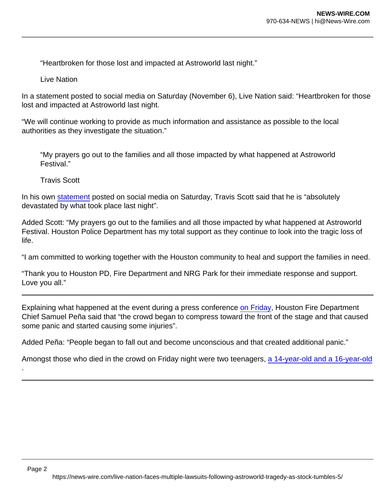"Heartbroken for those lost and impacted at Astroworld last night."

Live Nation

In a statement posted to social media on Saturday (November 6), Live Nation said: "Heartbroken for those lost and impacted at Astroworld last night.

"We will continue working to provide as much information and assistance as possible to the local authorities as they investigate the situation."

"My prayers go out to the families and all those impacted by what happened at Astroworld Festival."

Travis Scott

In his own [statement](https://twitter.com/trvisXX/status/1457018948109705217/photo/1) posted on social media on Saturday, Travis Scott said that he is "absolutely devastated by what took place last night".

Added Scott: "My prayers go out to the families and all those impacted by what happened at Astroworld Festival. Houston Police Department has my total support as they continue to look into the tragic loss of life.

"I am committed to working together with the Houston community to heal and support the families in need.

"Thank you to Houston PD, Fire Department and NRG Park for their immediate response and support. Love you all."

Explaining what happened at the event during a press conference [on Friday](https://www.billboard.com/articles/news/9656249/travis-scott-astroworld-tragedy-houston/), Houston Fire Department Chief Samuel Peña said that "the crowd began to compress toward the front of the stage and that caused some panic and started causing some injuries".

Added Peña: "People began to fall out and become unconscious and that created additional panic."

Amongst those who died in the crowd on Friday night were two teenagers, [a 14-year-old and a 16-year-old](https://variety.com/2021/music/news/astroworld-houston-officials-update-1235106512/)

.